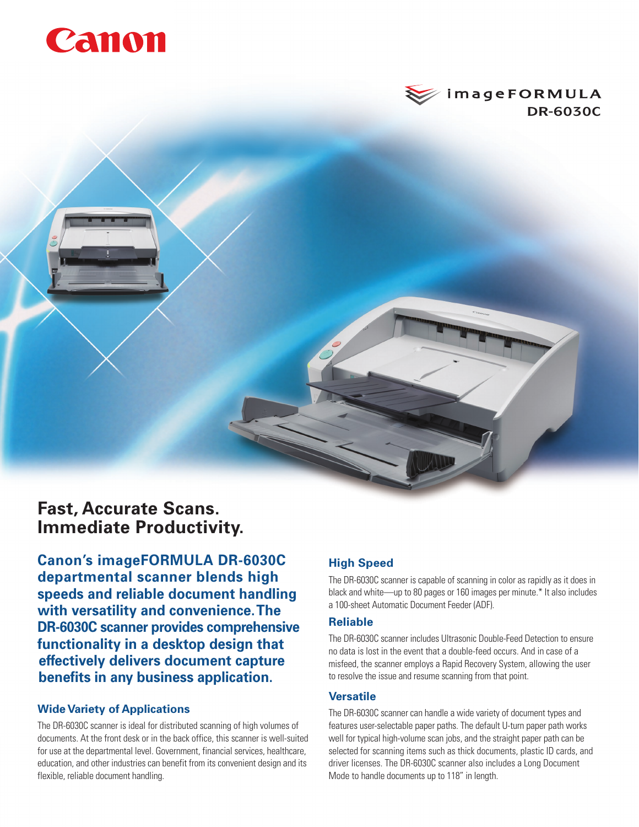# Canon



# **Fast, Accurate Scans. Immediate Productivity.**

**Canon's imageFORMULA DR-6030C departmental scanner blends high speeds and reliable document handling with versatility and convenience. The DR-6030C scanner provides comprehensive functionality in a desktop design that effectively delivers document capture benefits in any business application.**

### **Wide Variety of Applications**

The DR-6030C scanner is ideal for distributed scanning of high volumes of documents. At the front desk or in the back office, this scanner is well-suited for use at the departmental level. Government, financial services, healthcare, education, and other industries can benefit from its convenient design and its flexible, reliable document handling.

# **High Speed**

The DR-6030C scanner is capable of scanning in color as rapidly as it does in black and white—up to 80 pages or 160 images per minute.\* It also includes a 100-sheet Automatic Document Feeder (ADF).

#### **Reliable**

The DR-6030C scanner includes Ultrasonic Double-Feed Detection to ensure no data is lost in the event that a double-feed occurs. And in case of a misfeed, the scanner employs a Rapid Recovery System, allowing the user to resolve the issue and resume scanning from that point.

#### **Versatile**

The DR-6030C scanner can handle a wide variety of document types and features user-selectable paper paths. The default U-turn paper path works well for typical high-volume scan jobs, and the straight paper path can be selected for scanning items such as thick documents, plastic ID cards, and driver licenses. The DR-6030C scanner also includes a Long Document Mode to handle documents up to 118" in length.